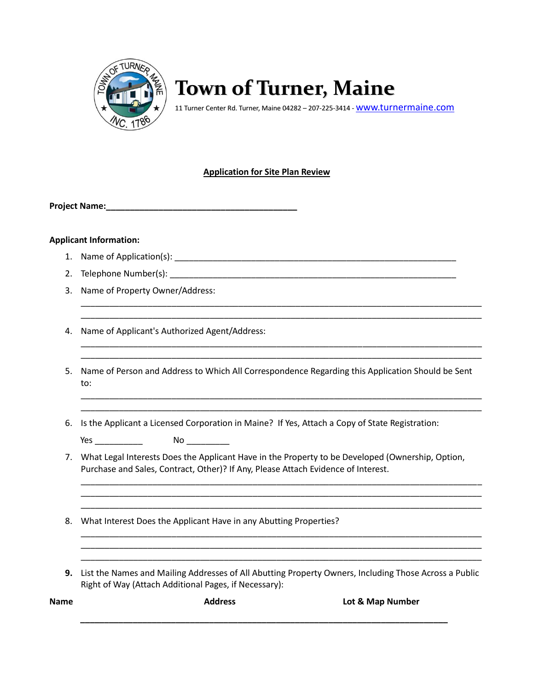

# **Town of Turner, Maine**

11 Turner Center Rd. Turner, Maine 04282 - 207-225-3414 - WWW.turnermaine.com

## **Application for Site Plan Review**

**Project Name:\_\_\_\_\_\_\_\_\_\_\_\_\_\_\_\_\_\_\_\_\_\_\_\_\_\_\_\_\_\_\_\_\_\_\_\_\_\_\_\_**

#### **Applicant Information:**

- 1. Name of Application(s): \_\_\_\_\_\_\_\_\_\_\_\_\_\_\_\_\_\_\_\_\_\_\_\_\_\_\_\_\_\_\_\_\_\_\_\_\_\_\_\_\_\_\_\_\_\_\_\_\_\_\_\_\_\_\_\_\_\_\_
- 2. Telephone Number(s): \_\_\_\_\_\_\_\_\_\_\_\_\_\_\_\_\_\_\_\_\_\_\_\_\_\_\_\_\_\_\_\_\_\_\_\_\_\_\_\_\_\_\_\_\_\_\_\_\_\_\_\_\_\_\_\_\_\_\_\_
- 3. Name of Property Owner/Address:
- 4. Name of Applicant's Authorized Agent/Address:
- 5. Name of Person and Address to Which All Correspondence Regarding this Application Should be Sent to:

\_\_\_\_\_\_\_\_\_\_\_\_\_\_\_\_\_\_\_\_\_\_\_\_\_\_\_\_\_\_\_\_\_\_\_\_\_\_\_\_\_\_\_\_\_\_\_\_\_\_\_\_\_\_\_\_\_\_\_\_\_\_\_\_\_\_\_\_\_\_\_\_\_\_\_\_\_\_\_\_\_\_\_\_ \_\_\_\_\_\_\_\_\_\_\_\_\_\_\_\_\_\_\_\_\_\_\_\_\_\_\_\_\_\_\_\_\_\_\_\_\_\_\_\_\_\_\_\_\_\_\_\_\_\_\_\_\_\_\_\_\_\_\_\_\_\_\_\_\_\_\_\_\_\_\_\_\_\_\_\_\_\_\_\_\_\_\_\_

\_\_\_\_\_\_\_\_\_\_\_\_\_\_\_\_\_\_\_\_\_\_\_\_\_\_\_\_\_\_\_\_\_\_\_\_\_\_\_\_\_\_\_\_\_\_\_\_\_\_\_\_\_\_\_\_\_\_\_\_\_\_\_\_\_\_\_\_\_\_\_\_\_\_\_\_\_\_\_\_\_\_\_\_

\_\_\_\_\_\_\_\_\_\_\_\_\_\_\_\_\_\_\_\_\_\_\_\_\_\_\_\_\_\_\_\_\_\_\_\_\_\_\_\_\_\_\_\_\_\_\_\_\_\_\_\_\_\_\_\_\_\_\_\_\_\_\_\_\_\_\_\_\_\_\_\_\_\_\_\_\_\_\_\_\_\_\_\_

\_\_\_\_\_\_\_\_\_\_\_\_\_\_\_\_\_\_\_\_\_\_\_\_\_\_\_\_\_\_\_\_\_\_\_\_\_\_\_\_\_\_\_\_\_\_\_\_\_\_\_\_\_\_\_\_\_\_\_\_\_\_\_\_\_\_\_\_\_\_\_\_\_\_\_\_\_\_\_\_\_\_\_\_ \_\_\_\_\_\_\_\_\_\_\_\_\_\_\_\_\_\_\_\_\_\_\_\_\_\_\_\_\_\_\_\_\_\_\_\_\_\_\_\_\_\_\_\_\_\_\_\_\_\_\_\_\_\_\_\_\_\_\_\_\_\_\_\_\_\_\_\_\_\_\_\_\_\_\_\_\_\_\_\_\_\_\_\_ \_\_\_\_\_\_\_\_\_\_\_\_\_\_\_\_\_\_\_\_\_\_\_\_\_\_\_\_\_\_\_\_\_\_\_\_\_\_\_\_\_\_\_\_\_\_\_\_\_\_\_\_\_\_\_\_\_\_\_\_\_\_\_\_\_\_\_\_\_\_\_\_\_\_\_\_\_\_\_\_\_\_\_\_

\_\_\_\_\_\_\_\_\_\_\_\_\_\_\_\_\_\_\_\_\_\_\_\_\_\_\_\_\_\_\_\_\_\_\_\_\_\_\_\_\_\_\_\_\_\_\_\_\_\_\_\_\_\_\_\_\_\_\_\_\_\_\_\_\_\_\_\_\_\_\_\_\_\_\_\_\_\_\_\_\_\_\_\_ \_\_\_\_\_\_\_\_\_\_\_\_\_\_\_\_\_\_\_\_\_\_\_\_\_\_\_\_\_\_\_\_\_\_\_\_\_\_\_\_\_\_\_\_\_\_\_\_\_\_\_\_\_\_\_\_\_\_\_\_\_\_\_\_\_\_\_\_\_\_\_\_\_\_\_\_\_\_\_\_\_\_\_\_

\_\_\_\_\_\_\_\_\_\_\_\_\_\_\_\_\_\_\_\_\_\_\_\_\_\_\_\_\_\_\_\_\_\_\_\_\_\_\_\_\_\_\_\_\_\_\_\_\_\_\_\_\_\_\_\_\_\_\_\_\_\_\_\_\_\_\_\_\_\_\_\_\_\_\_\_\_\_\_\_\_\_\_\_ \_\_\_\_\_\_\_\_\_\_\_\_\_\_\_\_\_\_\_\_\_\_\_\_\_\_\_\_\_\_\_\_\_\_\_\_\_\_\_\_\_\_\_\_\_\_\_\_\_\_\_\_\_\_\_\_\_\_\_\_\_\_\_\_\_\_\_\_\_\_\_\_\_\_\_\_\_\_\_\_\_\_\_\_

- 6. Is the Applicant a Licensed Corporation in Maine? If Yes, Attach a Copy of State Registration:
	- Yes \_\_\_\_\_\_\_\_\_\_ No \_\_\_\_\_\_\_\_\_
- 7. What Legal Interests Does the Applicant Have in the Property to be Developed (Ownership, Option, Purchase and Sales, Contract, Other)? If Any, Please Attach Evidence of Interest.

\_\_\_\_\_\_\_\_\_\_\_\_\_\_\_\_\_\_\_\_\_\_\_\_\_\_\_\_\_\_\_\_\_\_\_\_\_\_\_\_\_\_\_\_\_\_\_\_\_\_\_\_\_\_\_\_\_\_\_\_\_\_\_\_\_\_\_\_\_\_\_\_\_\_\_\_\_\_\_\_\_\_\_\_

- 8. What Interest Does the Applicant Have in any Abutting Properties?
- **9.** List the Names and Mailing Addresses of All Abutting Property Owners, Including Those Across a Public Right of Way (Attach Additional Pages, if Necessary):

**Name Address Lot & Map Number \_\_\_\_\_\_\_\_\_\_\_\_\_\_\_\_\_\_\_\_\_\_\_\_\_\_\_\_\_\_\_\_\_\_\_\_\_\_\_\_\_\_\_\_\_\_\_\_\_\_\_\_\_\_\_\_\_\_\_\_\_\_\_\_\_\_\_\_\_\_\_\_\_\_\_\_\_**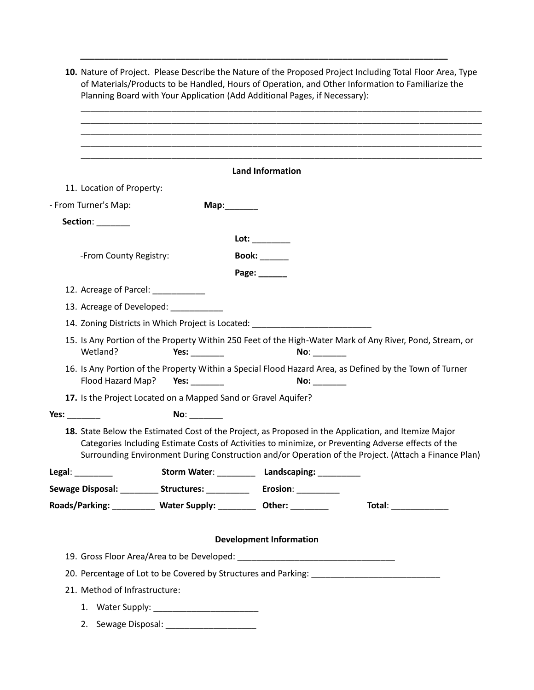**10.** Nature of Project. Please Describe the Nature of the Proposed Project Including Total Floor Area, Type of Materials/Products to be Handled, Hours of Operation, and Other Information to Familiarize the Planning Board with Your Application (Add Additional Pages, if Necessary):

**\_\_\_\_\_\_\_\_\_\_\_\_\_\_\_\_\_\_\_\_\_\_\_\_\_\_\_\_\_\_\_\_\_\_\_\_\_\_\_\_\_\_\_\_\_\_\_\_\_\_\_\_\_\_\_\_\_\_\_\_\_\_\_\_\_\_\_\_\_\_\_\_\_\_\_\_\_**

|                                    |                                                                  | <b>Land Information</b>                                                          |                                                                                                                                                                                                                                                                                                                     |
|------------------------------------|------------------------------------------------------------------|----------------------------------------------------------------------------------|---------------------------------------------------------------------------------------------------------------------------------------------------------------------------------------------------------------------------------------------------------------------------------------------------------------------|
| 11. Location of Property:          |                                                                  |                                                                                  |                                                                                                                                                                                                                                                                                                                     |
| - From Turner's Map:               |                                                                  |                                                                                  |                                                                                                                                                                                                                                                                                                                     |
| Section: ________                  |                                                                  |                                                                                  |                                                                                                                                                                                                                                                                                                                     |
|                                    |                                                                  | Lot: _________                                                                   |                                                                                                                                                                                                                                                                                                                     |
| -From County Registry:             |                                                                  | <b>Book:</b> ______                                                              |                                                                                                                                                                                                                                                                                                                     |
|                                    |                                                                  | Page: ______                                                                     |                                                                                                                                                                                                                                                                                                                     |
| 12. Acreage of Parcel: ___________ |                                                                  |                                                                                  |                                                                                                                                                                                                                                                                                                                     |
|                                    | 13. Acreage of Developed: ___________                            |                                                                                  |                                                                                                                                                                                                                                                                                                                     |
|                                    |                                                                  | 14. Zoning Districts in Which Project is Located: ______________________________ |                                                                                                                                                                                                                                                                                                                     |
| Wetland?                           | Yes: $\_\_$                                                      | No:                                                                              | 15. Is Any Portion of the Property Within 250 Feet of the High-Water Mark of Any River, Pond, Stream, or                                                                                                                                                                                                            |
| Flood Hazard Map?                  | Yes: $\frac{1}{2}$                                               | No: _______                                                                      | 16. Is Any Portion of the Property Within a Special Flood Hazard Area, as Defined by the Town of Turner                                                                                                                                                                                                             |
|                                    | 17. Is the Project Located on a Mapped Sand or Gravel Aquifer?   |                                                                                  |                                                                                                                                                                                                                                                                                                                     |
| Yes: $\_\_$                        | No:                                                              |                                                                                  |                                                                                                                                                                                                                                                                                                                     |
|                                    |                                                                  |                                                                                  | 18. State Below the Estimated Cost of the Project, as Proposed in the Application, and Itemize Major<br>Categories Including Estimate Costs of Activities to minimize, or Preventing Adverse effects of the<br>Surrounding Environment During Construction and/or Operation of the Project. (Attach a Finance Plan) |
| Legal: $\qquad \qquad$             |                                                                  | Storm Water: ____________ Landscaping: ___________                               |                                                                                                                                                                                                                                                                                                                     |
|                                    | Sewage Disposal: _________ Structures: _________                 | Erosion: __________                                                              |                                                                                                                                                                                                                                                                                                                     |
|                                    | Roads/Parking: _________ Water Supply: _________ Other: ________ |                                                                                  | $\boxed{\textbf{Total:}\quad}$                                                                                                                                                                                                                                                                                      |
|                                    |                                                                  |                                                                                  |                                                                                                                                                                                                                                                                                                                     |
|                                    |                                                                  | <b>Development Information</b>                                                   |                                                                                                                                                                                                                                                                                                                     |
|                                    |                                                                  |                                                                                  |                                                                                                                                                                                                                                                                                                                     |
|                                    |                                                                  |                                                                                  |                                                                                                                                                                                                                                                                                                                     |
| 21. Method of Infrastructure:      |                                                                  |                                                                                  |                                                                                                                                                                                                                                                                                                                     |
|                                    |                                                                  |                                                                                  |                                                                                                                                                                                                                                                                                                                     |
|                                    |                                                                  |                                                                                  |                                                                                                                                                                                                                                                                                                                     |